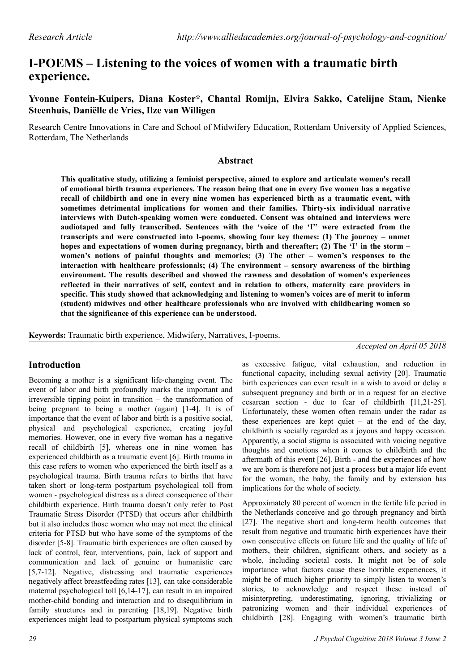# **I-POEMS – Listening to the voices of women with a traumatic birth experience.**

**Yvonne Fontein-Kuipers, Diana Koster\*, Chantal Romijn, Elvira Sakko, Catelijne Stam, Nienke Steenhuis, Daniëlle de Vries, Ilze van Willigen**

Research Centre Innovations in Care and School of Midwifery Education, Rotterdam University of Applied Sciences, Rotterdam, The Netherlands

#### **Abstract**

**This qualitative study, utilizing a feminist perspective, aimed to explore and articulate women's recall of emotional birth trauma experiences. The reason being that one in every five women has a negative recall of childbirth and one in every nine women has experienced birth as a traumatic event, with sometimes detrimental implications for women and their families. Thirty-six individual narrative interviews with Dutch-speaking women were conducted. Consent was obtained and interviews were audiotaped and fully transcribed. Sentences with the 'voice of the 'I'' were extracted from the transcripts and were constructed into I-poems, showing four key themes: (1) The journey – unmet hopes and expectations of women during pregnancy, birth and thereafter; (2) The 'I' in the storm – women's notions of painful thoughts and memories; (3) The other – women's responses to the interaction with healthcare professionals; (4) The environment – sensory awareness of the birthing environment. The results described and showed the rawness and desolation of women's experiences reflected in their narratives of self, context and in relation to others, maternity care providers in specific. This study showed that acknowledging and listening to women's voices are of merit to inform (student) midwives and other healthcare professionals who are involved with childbearing women so that the significance of this experience can be understood.**

**Keywords:** Traumatic birth experience, Midwifery, Narratives, I-poems.

*Accepted on April 05 2018*

# **Introduction**

Becoming a mother is a significant life-changing event. The event of labor and birth profoundly marks the important and irreversible tipping point in transition – the transformation of being pregnant to being a mother (again) [1-4]. It is of importance that the event of labor and birth is a positive social, physical and psychological experience, creating joyful memories. However, one in every five woman has a negative recall of childbirth [5], whereas one in nine women has experienced childbirth as a traumatic event [6]. Birth trauma in this case refers to women who experienced the birth itself as a psychological trauma. Birth trauma refers to births that have taken short or long-term postpartum psychological toll from women - psychological distress as a direct consequence of their childbirth experience. Birth trauma doesn't only refer to Post Traumatic Stress Disorder (PTSD) that occurs after childbirth but it also includes those women who may not meet the clinical criteria for PTSD but who have some of the symptoms of the disorder [5-8]. Traumatic birth experiences are often caused by lack of control, fear, interventions, pain, lack of support and communication and lack of genuine or humanistic care [5,7-12]. Negative, distressing and traumatic experiences negatively affect breastfeeding rates [13], can take considerable maternal psychological toll [6,14-17], can result in an impaired mother-child bonding and interaction and to disequilibrium in family structures and in parenting [18,19]. Negative birth experiences might lead to postpartum physical symptoms such

birth experiences can even result in a wish to avoid or delay a subsequent pregnancy and birth or in a request for an elective cesarean section - due to fear of childbirth [11,21-25]. Unfortunately, these women often remain under the radar as these experiences are kept quiet – at the end of the day, childbirth is socially regarded as a joyous and happy occasion. Apparently, a social stigma is associated with voicing negative thoughts and emotions when it comes to childbirth and the aftermath of this event [26]. Birth - and the experiences of how we are born is therefore not just a process but a major life event for the woman, the baby, the family and by extension has implications for the whole of society. Approximately 80 percent of women in the fertile life period in the Netherlands conceive and go through pregnancy and birth

as excessive fatigue, vital exhaustion, and reduction in functional capacity, including sexual activity [20]. Traumatic

[27]. The negative short and long-term health outcomes that result from negative and traumatic birth experiences have their own consecutive effects on future life and the quality of life of mothers, their children, significant others, and society as a whole, including societal costs. It might not be of sole importance what factors cause these horrible experiences, it might be of much higher priority to simply listen to women's stories, to acknowledge and respect these instead of misinterpreting, underestimating, ignoring, trivializing or patronizing women and their individual experiences of childbirth [28]. Engaging with women's traumatic birth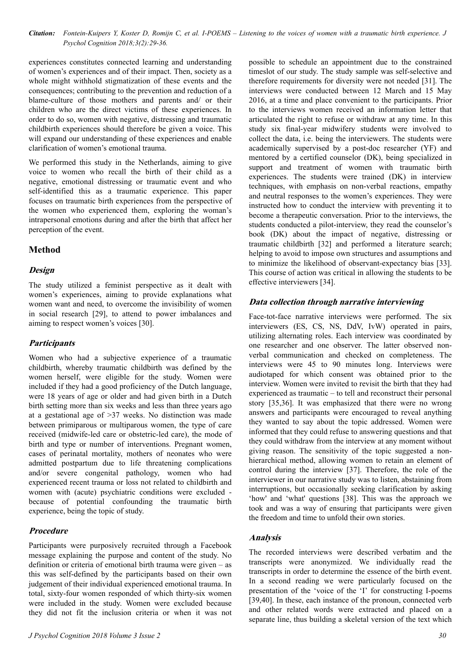experiences constitutes connected learning and understanding of women's experiences and of their impact. Then, society as a whole might withhold stigmatization of these events and the consequences; contributing to the prevention and reduction of a blame-culture of those mothers and parents and/ or their children who are the direct victims of these experiences. In order to do so, women with negative, distressing and traumatic childbirth experiences should therefore be given a voice. This will expand our understanding of these experiences and enable clarification of women's emotional trauma.

We performed this study in the Netherlands, aiming to give voice to women who recall the birth of their child as a negative, emotional distressing or traumatic event and who self-identified this as a traumatic experience. This paper focuses on traumatic birth experiences from the perspective of the women who experienced them, exploring the woman's intrapersonal emotions during and after the birth that affect her perception of the event.

### **Method**

### **Design**

The study utilized a feminist perspective as it dealt with women's experiences, aiming to provide explanations what women want and need, to overcome the invisibility of women in social research [29], to attend to power imbalances and aiming to respect women's voices [30].

#### **Participants**

Women who had a subjective experience of a traumatic childbirth, whereby traumatic childbirth was defined by the women herself, were eligible for the study. Women were included if they had a good proficiency of the Dutch language, were 18 years of age or older and had given birth in a Dutch birth setting more than six weeks and less than three years ago at a gestational age of >37 weeks. No distinction was made between primiparous or multiparous women, the type of care received (midwife-led care or obstetric-led care), the mode of birth and type or number of interventions. Pregnant women, cases of perinatal mortality, mothers of neonates who were admitted postpartum due to life threatening complications and/or severe congenital pathology, women who had experienced recent trauma or loss not related to childbirth and women with (acute) psychiatric conditions were excluded because of potential confounding the traumatic birth experience, being the topic of study.

### **Procedure**

Participants were purposively recruited through a Facebook message explaining the purpose and content of the study. No definition or criteria of emotional birth trauma were given – as this was self-defined by the participants based on their own judgement of their individual experienced emotional trauma. In total, sixty-four women responded of which thirty-six women were included in the study. Women were excluded because they did not fit the inclusion criteria or when it was not possible to schedule an appointment due to the constrained timeslot of our study. The study sample was self-selective and therefore requirements for diversity were not needed [31]. The interviews were conducted between 12 March and 15 May 2016, at a time and place convenient to the participants. Prior to the interviews women received an information letter that articulated the right to refuse or withdraw at any time. In this study six final-year midwifery students were involved to collect the data, i.e. being the interviewers. The students were academically supervised by a post-doc researcher (YF) and mentored by a certified counselor (DK), being specialized in support and treatment of women with traumatic birth experiences. The students were trained (DK) in interview techniques, with emphasis on non-verbal reactions, empathy and neutral responses to the women's experiences. They were instructed how to conduct the interview with preventing it to become a therapeutic conversation. Prior to the interviews, the students conducted a pilot-interview, they read the counselor's book (DK) about the impact of negative, distressing or traumatic childbirth [32] and performed a literature search; helping to avoid to impose own structures and assumptions and to minimize the likelihood of observant-expectancy bias [33]. This course of action was critical in allowing the students to be effective interviewers [34].

### **Data collection through narrative interviewing**

Face-tot-face narrative interviews were performed. The six interviewers (ES, CS, NS, DdV, IvW) operated in pairs, utilizing alternating roles. Each interview was coordinated by one researcher and one observer. The latter observed nonverbal communication and checked on completeness. The interviews were 45 to 90 minutes long. Interviews were audiotaped for which consent was obtained prior to the interview. Women were invited to revisit the birth that they had experienced as traumatic – to tell and reconstruct their personal story [35,36]. It was emphasized that there were no wrong answers and participants were encouraged to reveal anything they wanted to say about the topic addressed. Women were informed that they could refuse to answering questions and that they could withdraw from the interview at any moment without giving reason. The sensitivity of the topic suggested a nonhierarchical method, allowing women to retain an element of control during the interview [37]. Therefore, the role of the interviewer in our narrative study was to listen, abstaining from interruptions, but occasionally seeking clarification by asking 'how' and 'what' questions [38]. This was the approach we took and was a way of ensuring that participants were given the freedom and time to unfold their own stories.

#### **Analysis**

The recorded interviews were described verbatim and the transcripts were anonymized. We individually read the transcripts in order to determine the essence of the birth event. In a second reading we were particularly focused on the presentation of the 'voice of the 'I' for constructing I-poems [39,40]. In these, each instance of the pronoun, connected verb and other related words were extracted and placed on a separate line, thus building a skeletal version of the text which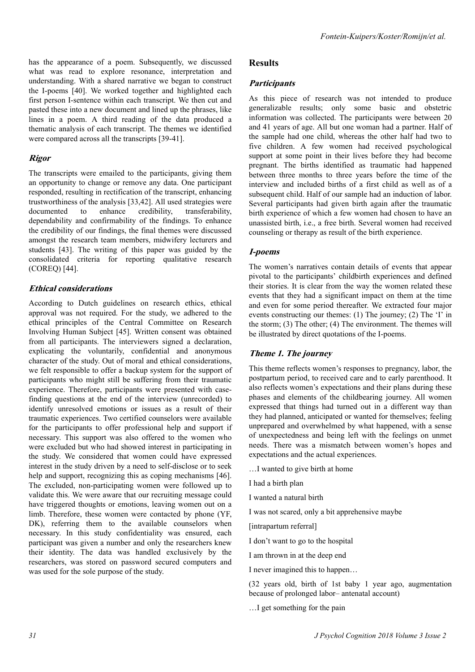has the appearance of a poem. Subsequently, we discussed what was read to explore resonance, interpretation and understanding. With a shared narrative we began to construct the I-poems [40]. We worked together and highlighted each first person I-sentence within each transcript. We then cut and pasted these into a new document and lined up the phrases, like lines in a poem. A third reading of the data produced a thematic analysis of each transcript. The themes we identified were compared across all the transcripts [39-41].

#### **Rigor**

The transcripts were emailed to the participants, giving them an opportunity to change or remove any data. One participant responded, resulting in rectification of the transcript, enhancing trustworthiness of the analysis [33,42]. All used strategies were documented to enhance credibility, transferability, dependability and confirmability of the findings. To enhance the credibility of our findings, the final themes were discussed amongst the research team members, midwifery lecturers and students [43]. The writing of this paper was guided by the consolidated criteria for reporting qualitative research (COREQ) [44].

#### **Ethical considerations**

According to Dutch guidelines on research ethics, ethical approval was not required. For the study, we adhered to the ethical principles of the Central Committee on Research Involving Human Subject [45]. Written consent was obtained from all participants. The interviewers signed a declaration, explicating the voluntarily, confidential and anonymous character of the study. Out of moral and ethical considerations, we felt responsible to offer a backup system for the support of participants who might still be suffering from their traumatic experience. Therefore, participants were presented with casefinding questions at the end of the interview (unrecorded) to identify unresolved emotions or issues as a result of their traumatic experiences. Two certified counselors were available for the participants to offer professional help and support if necessary. This support was also offered to the women who were excluded but who had showed interest in participating in the study. We considered that women could have expressed interest in the study driven by a need to self-disclose or to seek help and support, recognizing this as coping mechanisms [46]. The excluded, non-participating women were followed up to validate this. We were aware that our recruiting message could have triggered thoughts or emotions, leaving women out on a limb. Therefore, these women were contacted by phone (YF, DK), referring them to the available counselors when necessary. In this study confidentiality was ensured, each participant was given a number and only the researchers knew their identity. The data was handled exclusively by the researchers, was stored on password secured computers and was used for the sole purpose of the study.

### **Results**

#### **Participants**

As this piece of research was not intended to produce generalizable results; only some basic and obstetric information was collected. The participants were between 20 and 41 years of age. All but one woman had a partner. Half of the sample had one child, whereas the other half had two to five children. A few women had received psychological support at some point in their lives before they had become pregnant. The births identified as traumatic had happened between three months to three years before the time of the interview and included births of a first child as well as of a subsequent child. Half of our sample had an induction of labor. Several participants had given birth again after the traumatic birth experience of which a few women had chosen to have an unassisted birth, i.e., a free birth. Several women had received counseling or therapy as result of the birth experience.

#### **I-poems**

The women's narratives contain details of events that appear pivotal to the participants' childbirth experiences and defined their stories. It is clear from the way the women related these events that they had a significant impact on them at the time and even for some period thereafter. We extracted four major events constructing our themes: (1) The journey; (2) The 'I' in the storm; (3) The other; (4) The environment. The themes will be illustrated by direct quotations of the I-poems.

#### **Theme 1. The journey**

This theme reflects women's responses to pregnancy, labor, the postpartum period, to received care and to early parenthood. It also reflects women's expectations and their plans during these phases and elements of the childbearing journey. All women expressed that things had turned out in a different way than they had planned, anticipated or wanted for themselves; feeling unprepared and overwhelmed by what happened, with a sense of unexpectedness and being left with the feelings on unmet needs. There was a mismatch between women's hopes and expectations and the actual experiences.

…I wanted to give birth at home

I had a birth plan

I wanted a natural birth

I was not scared, only a bit apprehensive maybe

[intrapartum referral]

I don't want to go to the hospital

I am thrown in at the deep end

I never imagined this to happen…

(32 years old, birth of 1st baby 1 year ago, augmentation because of prolonged labor– antenatal account)

…I get something for the pain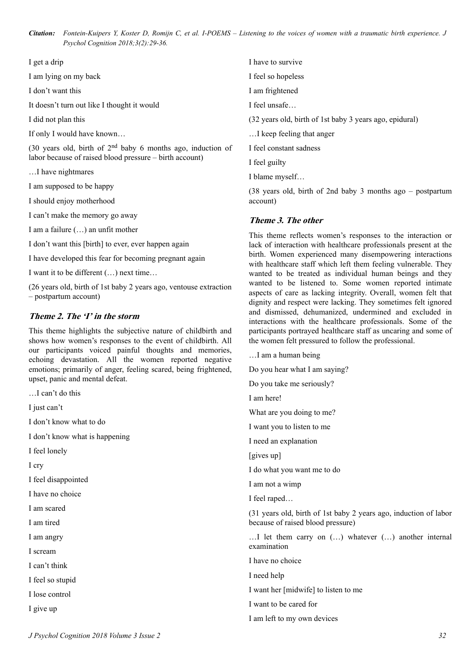I get a drip

I am lying on my back

I don't want this

It doesn't turn out like I thought it would

I did not plan this

If only I would have known…

(30 years old, birth of  $2<sup>nd</sup>$  baby 6 months ago, induction of labor because of raised blood pressure – birth account)

…I have nightmares

I am supposed to be happy

I should enjoy motherhood

I can't make the memory go away

I am a failure (…) an unfit mother

I don't want this [birth] to ever, ever happen again

I have developed this fear for becoming pregnant again

I want it to be different (…) next time…

(26 years old, birth of 1st baby 2 years ago, ventouse extraction – postpartum account)

#### **Theme 2. The 'I' in the storm**

This theme highlights the subjective nature of childbirth and shows how women's responses to the event of childbirth. All our participants voiced painful thoughts and memories, echoing devastation. All the women reported negative emotions; primarily of anger, feeling scared, being frightened, upset, panic and mental defeat.

…I can't do this

I just can't

I don't know what to do

I don't know what is happening

I feel lonely

I cry

I feel disappointed

I have no choice

I am scared

I am tired

I am angry

I scream

I can't think

I feel so stupid

I lose control

I give up

I have to survive

I feel so hopeless

I am frightened

I feel unsafe…

(32 years old, birth of 1st baby 3 years ago, epidural)

…I keep feeling that anger

I feel constant sadness

I feel guilty

I blame myself…

(38 years old, birth of 2nd baby 3 months ago – postpartum account)

#### **Theme 3. The other**

This theme reflects women's responses to the interaction or lack of interaction with healthcare professionals present at the birth. Women experienced many disempowering interactions with healthcare staff which left them feeling vulnerable. They wanted to be treated as individual human beings and they wanted to be listened to. Some women reported intimate aspects of care as lacking integrity. Overall, women felt that dignity and respect were lacking. They sometimes felt ignored and dismissed, dehumanized, undermined and excluded in interactions with the healthcare professionals. Some of the participants portrayed healthcare staff as uncaring and some of the women felt pressured to follow the professional.

…I am a human being Do you hear what I am saying? Do you take me seriously? I am here! What are you doing to me? I want you to listen to me I need an explanation [gives up] I do what you want me to do I am not a wimp I feel raped… (31 years old, birth of 1st baby 2 years ago, induction of labor because of raised blood pressure) …I let them carry on (…) whatever (…) another internal examination I have no choice I need help I want her [midwife] to listen to me I want to be cared for

I am left to my own devices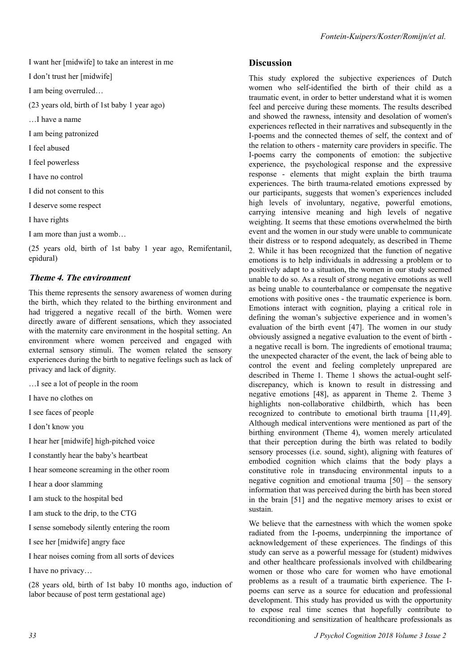I want her [midwife] to take an interest in me

I don't trust her [midwife]

I am being overruled…

(23 years old, birth of 1st baby 1 year ago)

…I have a name

I am being patronized

I feel abused

I feel powerless

I have no control

I did not consent to this

I deserve some respect

I have rights

I am more than just a womb…

(25 years old, birth of 1st baby 1 year ago, Remifentanil, epidural)

# **Theme 4. The environment**

This theme represents the sensory awareness of women during the birth, which they related to the birthing environment and had triggered a negative recall of the birth. Women were directly aware of different sensations, which they associated with the maternity care environment in the hospital setting. An environment where women perceived and engaged with external sensory stimuli. The women related the sensory experiences during the birth to negative feelings such as lack of privacy and lack of dignity.

…I see a lot of people in the room

I have no clothes on

I see faces of people

I don't know you

I hear her [midwife] high-pitched voice

I constantly hear the baby's heartbeat

I hear someone screaming in the other room

I hear a door slamming

I am stuck to the hospital bed

I am stuck to the drip, to the CTG

I sense somebody silently entering the room

I see her [midwife] angry face

I hear noises coming from all sorts of devices

I have no privacy…

(28 years old, birth of 1st baby 10 months ago, induction of labor because of post term gestational age)

## **Discussion**

This study explored the subjective experiences of Dutch women who self-identified the birth of their child as a traumatic event, in order to better understand what it is women feel and perceive during these moments. The results described and showed the rawness, intensity and desolation of women's experiences reflected in their narratives and subsequently in the I-poems and the connected themes of self, the context and of the relation to others - maternity care providers in specific. The I-poems carry the components of emotion: the subjective experience, the psychological response and the expressive response - elements that might explain the birth trauma experiences. The birth trauma-related emotions expressed by our participants, suggests that women's experiences included high levels of involuntary, negative, powerful emotions, carrying intensive meaning and high levels of negative weighting. It seems that these emotions overwhelmed the birth event and the women in our study were unable to communicate their distress or to respond adequately, as described in Theme 2. While it has been recognized that the function of negative emotions is to help individuals in addressing a problem or to positively adapt to a situation, the women in our study seemed unable to do so. As a result of strong negative emotions as well as being unable to counterbalance or compensate the negative emotions with positive ones - the traumatic experience is born. Emotions interact with cognition, playing a critical role in defining the woman's subjective experience and in women's evaluation of the birth event [47]. The women in our study obviously assigned a negative evaluation to the event of birth a negative recall is born. The ingredients of emotional trauma; the unexpected character of the event, the lack of being able to control the event and feeling completely unprepared are described in Theme 1. Theme 1 shows the actual-ought selfdiscrepancy, which is known to result in distressing and negative emotions [48], as apparent in Theme 2. Theme 3 highlights non-collaborative childbirth, which has been recognized to contribute to emotional birth trauma [11,49]. Although medical interventions were mentioned as part of the birthing environment (Theme 4), women merely articulated that their perception during the birth was related to bodily sensory processes (i.e. sound, sight), aligning with features of embodied cognition which claims that the body plays a constitutive role in transducing environmental inputs to a negative cognition and emotional trauma [50] – the sensory information that was perceived during the birth has been stored in the brain [51] and the negative memory arises to exist or sustain.

We believe that the earnestness with which the women spoke radiated from the I-poems, underpinning the importance of acknowledgement of these experiences. The findings of this study can serve as a powerful message for (student) midwives and other healthcare professionals involved with childbearing women or those who care for women who have emotional problems as a result of a traumatic birth experience. The Ipoems can serve as a source for education and professional development. This study has provided us with the opportunity to expose real time scenes that hopefully contribute to reconditioning and sensitization of healthcare professionals as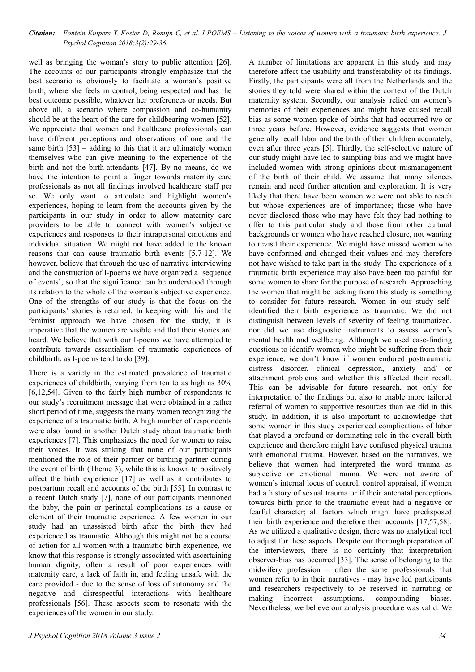well as bringing the woman's story to public attention [26]. The accounts of our participants strongly emphasize that the best scenario is obviously to facilitate a woman´s positive birth, where she feels in control, being respected and has the best outcome possible, whatever her preferences or needs. But above all, a scenario where compassion and co-humanity should be at the heart of the care for childbearing women [52]. We appreciate that women and healthcare professionals can have different perceptions and observations of one and the same birth  $[53]$  – adding to this that it are ultimately women themselves who can give meaning to the experience of the birth and not the birth-attendants [47]. By no means, do we have the intention to point a finger towards maternity care professionals as not all findings involved healthcare staff per se. We only want to articulate and highlight women's experiences, hoping to learn from the accounts given by the participants in our study in order to allow maternity care providers to be able to connect with women's subjective experiences and responses to their intrapersonal emotions and individual situation. We might not have added to the known reasons that can cause traumatic birth events [5,7-12]. We however, believe that through the use of narrative interviewing and the construction of I-poems we have organized a 'sequence of events', so that the significance can be understood through its relation to the whole of the woman's subjective experience. One of the strengths of our study is that the focus on the participants' stories is retained. In keeping with this and the feminist approach we have chosen for the study, it is imperative that the women are visible and that their stories are heard. We believe that with our I-poems we have attempted to contribute towards essentialism of traumatic experiences of childbirth, as I-poems tend to do [39].

There is a variety in the estimated prevalence of traumatic experiences of childbirth, varying from ten to as high as 30% [6,12,54]. Given to the fairly high number of respondents to our study's recruitment message that were obtained in a rather short period of time, suggests the many women recognizing the experience of a traumatic birth. A high number of respondents were also found in another Dutch study about traumatic birth experiences [7]. This emphasizes the need for women to raise their voices. It was striking that none of our participants mentioned the role of their partner or birthing partner during the event of birth (Theme 3), while this is known to positively affect the birth experience [17] as well as it contributes to postpartum recall and accounts of the birth [55]. In contrast to a recent Dutch study [7], none of our participants mentioned the baby, the pain or perinatal complications as a cause or element of their traumatic experience. A few women in our study had an unassisted birth after the birth they had experienced as traumatic. Although this might not be a course of action for all women with a traumatic birth experience, we know that this response is strongly associated with ascertaining human dignity, often a result of poor experiences with maternity care, a lack of faith in, and feeling unsafe with the care provided - due to the sense of loss of autonomy and the negative and disrespectful interactions with healthcare professionals [56]. These aspects seem to resonate with the experiences of the women in our study.

A number of limitations are apparent in this study and may therefore affect the usability and transferability of its findings. Firstly, the participants were all from the Netherlands and the stories they told were shared within the context of the Dutch maternity system. Secondly, our analysis relied on women's memories of their experiences and might have caused recall bias as some women spoke of births that had occurred two or three years before. However, evidence suggests that women generally recall labor and the birth of their children accurately, even after three years [5]. Thirdly, the self-selective nature of our study might have led to sampling bias and we might have included women with strong opinions about mismanagement of the birth of their child. We assume that many silences remain and need further attention and exploration. It is very likely that there have been women we were not able to reach but whose experiences are of importance; those who have never disclosed those who may have felt they had nothing to offer to this particular study and those from other cultural backgrounds or women who have reached closure, not wanting to revisit their experience. We might have missed women who have conformed and changed their values and may therefore not have wished to take part in the study. The experiences of a traumatic birth experience may also have been too painful for some women to share for the purpose of research. Approaching the women that might be lacking from this study is something to consider for future research. Women in our study selfidentified their birth experience as traumatic. We did not distinguish between levels of severity of feeling traumatized, nor did we use diagnostic instruments to assess women's mental health and wellbeing. Although we used case-finding questions to identify women who might be suffering from their experience, we don't know if women endured posttraumatic distress disorder, clinical depression, anxiety and/ or attachment problems and whether this affected their recall. This can be advisable for future research, not only for interpretation of the findings but also to enable more tailored referral of women to supportive resources than we did in this study. In addition, it is also important to acknowledge that some women in this study experienced complications of labor that played a profound or dominating role in the overall birth experience and therefore might have confused physical trauma with emotional trauma. However, based on the narratives, we believe that women had interpreted the word trauma as subjective or emotional trauma. We were not aware of women's internal locus of control, control appraisal, if women had a history of sexual trauma or if their antenatal perceptions towards birth prior to the traumatic event had a negative or fearful character; all factors which might have predisposed their birth experience and therefore their accounts [17,57,58]. As we utilized a qualitative design, there was no analytical tool to adjust for these aspects. Despite our thorough preparation of the interviewers, there is no certainty that interpretation observer-bias has occurred [33]. The sense of belonging to the midwifery profession – often the same professionals that women refer to in their narratives - may have led participants and researchers respectively to be reserved in narrating or making incorrect assumptions, compounding biases. Nevertheless, we believe our analysis procedure was valid. We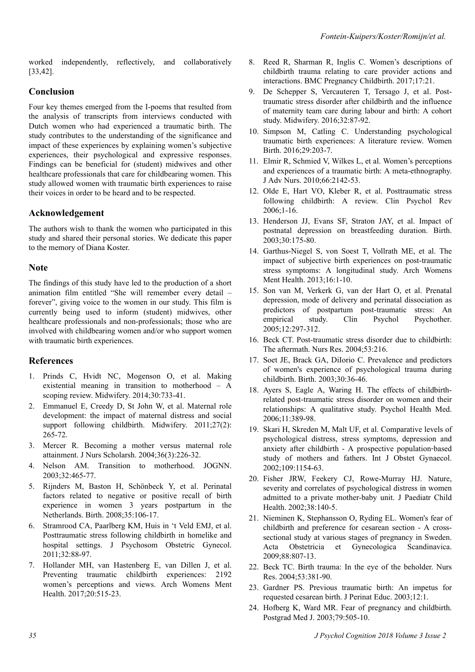worked independently, reflectively, and collaboratively [33,42].

# **Conclusion**

Four key themes emerged from the I-poems that resulted from the analysis of transcripts from interviews conducted with Dutch women who had experienced a traumatic birth. The study contributes to the understanding of the significance and impact of these experiences by explaining women's subjective experiences, their psychological and expressive responses. Findings can be beneficial for (student) midwives and other healthcare professionals that care for childbearing women. This study allowed women with traumatic birth experiences to raise their voices in order to be heard and to be respected.

# **Acknowledgement**

The authors wish to thank the women who participated in this study and shared their personal stories. We dedicate this paper to the memory of Diana Koster.

### **Note**

The findings of this study have led to the production of a short animation film entitled "She will remember every detail – forever", giving voice to the women in our study. This film is currently being used to inform (student) midwives, other healthcare professionals and non-professionals; those who are involved with childbearing women and/or who support women with traumatic birth experiences.

# **References**

- 1. Prinds C, Hvidt NC, Mogenson O, et al. Making existential meaning in transition to motherhood – A scoping review. Midwifery. 2014;30:733-41.
- 2. Emmanuel E, Creedy D, St John W, et al. Maternal role development: the impact of maternal distress and social support following childbirth. Midwifery. 2011;27(2): 265-72.
- 3. Mercer R. Becoming a mother versus maternal role attainment. J Nurs Scholarsh. 2004;36(3):226-32.
- 4. Nelson AM. Transition to motherhood. JOGNN. 2003;32:465-77.
- 5. Rijnders M, Baston H, Schönbeck Y, et al. Perinatal factors related to negative or positive recall of birth experience in women 3 years postpartum in the Netherlands. Birth. 2008;35:106-17.
- 6. Stramrood CA, Paarlberg KM, Huis in 't Veld EMJ, et al. Posttraumatic stress following childbirth in homelike and hospital settings. J Psychosom Obstetric Gynecol. 2011;32:88-97.
- 7. Hollander MH, van Hastenberg E, van Dillen J, et al. Preventing traumatic childbirth experiences: 2192 women's perceptions and views. Arch Womens Ment Health. 2017;20:515-23.
- 8. Reed R, Sharman R, Inglis C. Women's descriptions of childbirth trauma relating to care provider actions and interactions. BMC Pregnancy Childbirth. 2017;17:21.
- 9. De Schepper S, Vercauteren T, Tersago J, et al. Posttraumatic stress disorder after childbirth and the influence of maternity team care during labour and birth: A cohort study. Midwifery. 2016;32:87-92.
- 10. Simpson M, Catling C. Understanding psychological traumatic birth experiences: A literature review. Women Birth. 2016;29:203-7.
- 11. Elmir R, Schmied V, Wilkes L, et al. Women's perceptions and experiences of a traumatic birth: A meta-ethnography. J Adv Nurs. 2010;66:2142-53.
- 12. Olde E, Hart VO, Kleber R, et al. Posttraumatic stress following childbirth: A review. Clin Psychol Rev 2006;1-16.
- 13. Henderson JJ, Evans SF, Straton JAY, et al. Impact of postnatal depression on breastfeeding duration. Birth. 2003;30:175-80.
- 14. Garthus-Niegel S, von Soest T, Vollrath ME, et al. The impact of subjective birth experiences on post-traumatic stress symptoms: A longitudinal study. Arch Womens Ment Health. 2013;16:1-10.
- 15. Son van M, Verkerk G, van der Hart O, et al. Prenatal depression, mode of delivery and perinatal dissociation as predictors of postpartum post-traumatic stress: An empirical study. Clin Psychol Psychother. 2005;12:297-312.
- 16. Beck CT. Post-traumatic stress disorder due to childbirth: The aftermath. Nurs Res. 2004;53:216.
- 17. Soet JE, Brack GA, DiIorio C. Prevalence and predictors of women's experience of psychological trauma during childbirth. Birth. 2003;30:36-46.
- 18. Ayers S, Eagle A, Waring H. The effects of childbirthrelated post-traumatic stress disorder on women and their relationships: A qualitative study. Psychol Health Med. 2006;11:389-98.
- 19. Skari H, Skreden M, Malt UF, et al. Comparative levels of psychological distress, stress symptoms, depression and anxiety after childbirth - A prospective population‐based study of mothers and fathers. Int J Obstet Gynaecol. 2002;109:1154-63.
- 20. Fisher JRW, Feekery CJ, Rowe-Murray HJ. Nature, severity and correlates of psychological distress in women admitted to a private mother-baby unit. J Paediatr Child Health. 2002;38:140-5.
- 21. Nieminen K, Stephansson O, Ryding EL. Women's fear of childbirth and preference for cesarean section - A crosssectional study at various stages of pregnancy in Sweden. Acta Obstetricia et Gynecologica Scandinavica. 2009;88:807-13.
- 22. Beck TC. Birth trauma: In the eye of the beholder. Nurs Res. 2004;53:381-90.
- 23. Gardner PS. Previous traumatic birth: An impetus for requested cesarean birth. J Perinat Educ. 2003;12:1.
- 24. Hofberg K, Ward MR. Fear of pregnancy and childbirth. Postgrad Med J. 2003;79:505-10.